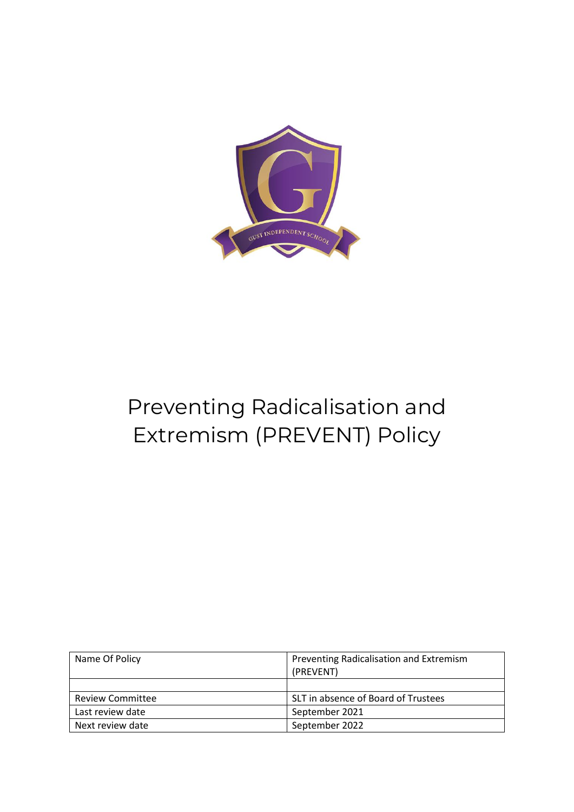

# Preventing Radicalisation and Extremism (PREVENT) Policy

| Name Of Policy          | Preventing Radicalisation and Extremism<br>(PREVENT) |  |
|-------------------------|------------------------------------------------------|--|
|                         |                                                      |  |
| <b>Review Committee</b> | SLT in absence of Board of Trustees                  |  |
| Last review date        | September 2021                                       |  |
| Next review date        | September 2022                                       |  |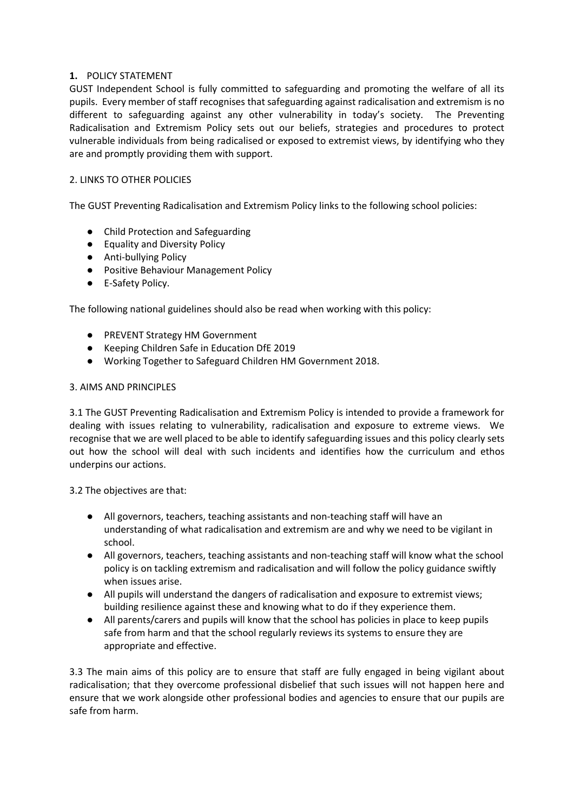## **1.** POLICY STATEMENT

GUST Independent School is fully committed to safeguarding and promoting the welfare of all its pupils. Every member of staff recognises that safeguarding against radicalisation and extremism is no different to safeguarding against any other vulnerability in today's society. The Preventing Radicalisation and Extremism Policy sets out our beliefs, strategies and procedures to protect vulnerable individuals from being radicalised or exposed to extremist views, by identifying who they are and promptly providing them with support.

## 2. LINKS TO OTHER POLICIES

The GUST Preventing Radicalisation and Extremism Policy links to the following school policies:

- Child Protection and Safeguarding
- Equality and Diversity Policy
- Anti-bullying Policy
- Positive Behaviour Management Policy
- E-Safety Policy.

The following national guidelines should also be read when working with this policy:

- PREVENT Strategy HM Government
- Keeping Children Safe in Education DfE 2019
- Working Together to Safeguard Children HM Government 2018.

#### 3. AIMS AND PRINCIPLES

3.1 The GUST Preventing Radicalisation and Extremism Policy is intended to provide a framework for dealing with issues relating to vulnerability, radicalisation and exposure to extreme views. We recognise that we are well placed to be able to identify safeguarding issues and this policy clearly sets out how the school will deal with such incidents and identifies how the curriculum and ethos underpins our actions.

3.2 The objectives are that:

- All governors, teachers, teaching assistants and non-teaching staff will have an understanding of what radicalisation and extremism are and why we need to be vigilant in school.
- All governors, teachers, teaching assistants and non-teaching staff will know what the school policy is on tackling extremism and radicalisation and will follow the policy guidance swiftly when issues arise.
- All pupils will understand the dangers of radicalisation and exposure to extremist views; building resilience against these and knowing what to do if they experience them.
- All parents/carers and pupils will know that the school has policies in place to keep pupils safe from harm and that the school regularly reviews its systems to ensure they are appropriate and effective.

3.3 The main aims of this policy are to ensure that staff are fully engaged in being vigilant about radicalisation; that they overcome professional disbelief that such issues will not happen here and ensure that we work alongside other professional bodies and agencies to ensure that our pupils are safe from harm.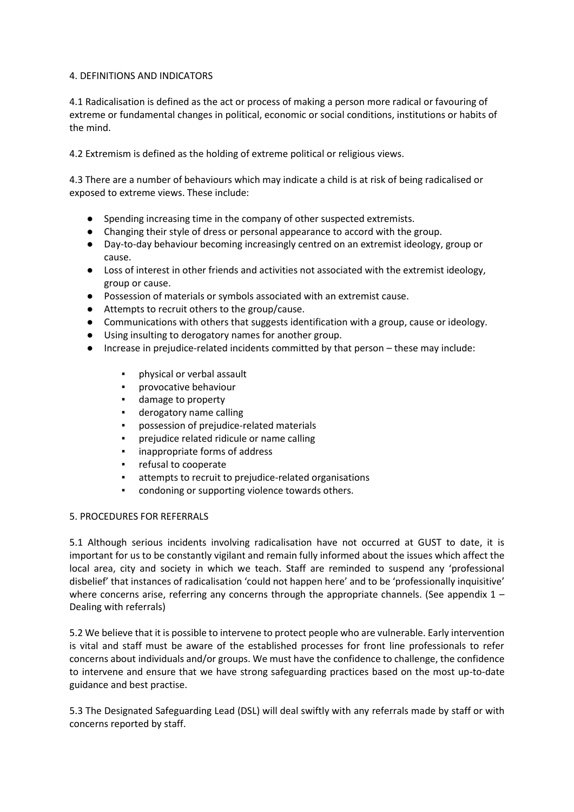#### 4. DEFINITIONS AND INDICATORS

4.1 Radicalisation is defined as the act or process of making a person more radical or favouring of extreme or fundamental changes in political, economic or social conditions, institutions or habits of the mind.

4.2 Extremism is defined as the holding of extreme political or religious views.

4.3 There are a number of behaviours which may indicate a child is at risk of being radicalised or exposed to extreme views. These include:

- Spending increasing time in the company of other suspected extremists.
- Changing their style of dress or personal appearance to accord with the group.
- Day-to-day behaviour becoming increasingly centred on an extremist ideology, group or cause.
- Loss of interest in other friends and activities not associated with the extremist ideology, group or cause.
- Possession of materials or symbols associated with an extremist cause.
- Attempts to recruit others to the group/cause.
- Communications with others that suggests identification with a group, cause or ideology.
- Using insulting to derogatory names for another group.
- Increase in prejudice-related incidents committed by that person these may include:
	- physical or verbal assault
	- provocative behaviour
	- damage to property
	- derogatory name calling
	- possession of prejudice-related materials
	- prejudice related ridicule or name calling
	- inappropriate forms of address
	- refusal to cooperate
	- attempts to recruit to prejudice-related organisations
	- condoning or supporting violence towards others.

#### 5. PROCEDURES FOR REFERRALS

5.1 Although serious incidents involving radicalisation have not occurred at GUST to date, it is important for us to be constantly vigilant and remain fully informed about the issues which affect the local area, city and society in which we teach. Staff are reminded to suspend any 'professional disbelief' that instances of radicalisation 'could not happen here' and to be 'professionally inquisitive' where concerns arise, referring any concerns through the appropriate channels. (See appendix  $1 -$ Dealing with referrals)

5.2 We believe that it is possible to intervene to protect people who are vulnerable. Early intervention is vital and staff must be aware of the established processes for front line professionals to refer concerns about individuals and/or groups. We must have the confidence to challenge, the confidence to intervene and ensure that we have strong safeguarding practices based on the most up-to-date guidance and best practise.

5.3 The Designated Safeguarding Lead (DSL) will deal swiftly with any referrals made by staff or with concerns reported by staff.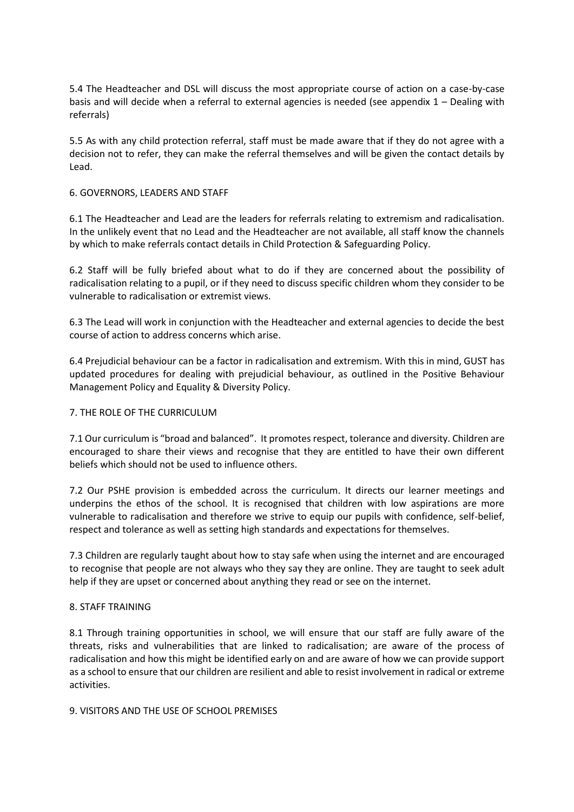5.4 The Headteacher and DSL will discuss the most appropriate course of action on a case-by-case basis and will decide when a referral to external agencies is needed (see appendix 1 – Dealing with referrals)

5.5 As with any child protection referral, staff must be made aware that if they do not agree with a decision not to refer, they can make the referral themselves and will be given the contact details by Lead.

#### 6. GOVERNORS, LEADERS AND STAFF

6.1 The Headteacher and Lead are the leaders for referrals relating to extremism and radicalisation. In the unlikely event that no Lead and the Headteacher are not available, all staff know the channels by which to make referrals contact details in Child Protection & Safeguarding Policy.

6.2 Staff will be fully briefed about what to do if they are concerned about the possibility of radicalisation relating to a pupil, or if they need to discuss specific children whom they consider to be vulnerable to radicalisation or extremist views.

6.3 The Lead will work in conjunction with the Headteacher and external agencies to decide the best course of action to address concerns which arise.

6.4 Prejudicial behaviour can be a factor in radicalisation and extremism. With this in mind, GUST has updated procedures for dealing with prejudicial behaviour, as outlined in the Positive Behaviour Management Policy and Equality & Diversity Policy.

#### 7. THE ROLE OF THE CURRICULUM

7.1 Our curriculum is "broad and balanced". It promotes respect, tolerance and diversity. Children are encouraged to share their views and recognise that they are entitled to have their own different beliefs which should not be used to influence others.

7.2 Our PSHE provision is embedded across the curriculum. It directs our learner meetings and underpins the ethos of the school. It is recognised that children with low aspirations are more vulnerable to radicalisation and therefore we strive to equip our pupils with confidence, self-belief, respect and tolerance as well as setting high standards and expectations for themselves.

7.3 Children are regularly taught about how to stay safe when using the internet and are encouraged to recognise that people are not always who they say they are online. They are taught to seek adult help if they are upset or concerned about anything they read or see on the internet.

#### 8. STAFF TRAINING

8.1 Through training opportunities in school, we will ensure that our staff are fully aware of the threats, risks and vulnerabilities that are linked to radicalisation; are aware of the process of radicalisation and how this might be identified early on and are aware of how we can provide support as a school to ensure that our children are resilient and able to resist involvement in radical or extreme activities.

#### 9. VISITORS AND THE USE OF SCHOOL PREMISES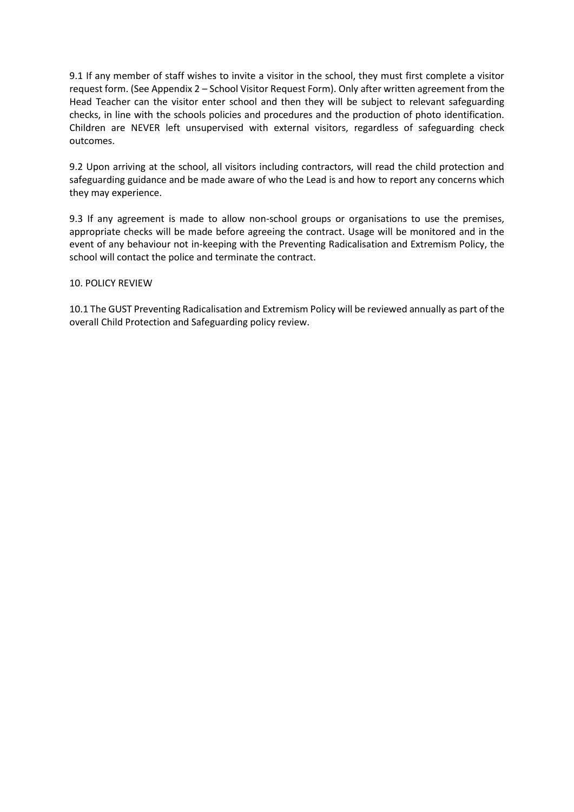9.1 If any member of staff wishes to invite a visitor in the school, they must first complete a visitor request form. (See Appendix 2 – School Visitor Request Form). Only after written agreement from the Head Teacher can the visitor enter school and then they will be subject to relevant safeguarding checks, in line with the schools policies and procedures and the production of photo identification. Children are NEVER left unsupervised with external visitors, regardless of safeguarding check outcomes.

9.2 Upon arriving at the school, all visitors including contractors, will read the child protection and safeguarding guidance and be made aware of who the Lead is and how to report any concerns which they may experience.

9.3 If any agreement is made to allow non-school groups or organisations to use the premises, appropriate checks will be made before agreeing the contract. Usage will be monitored and in the event of any behaviour not in-keeping with the Preventing Radicalisation and Extremism Policy, the school will contact the police and terminate the contract.

#### 10. POLICY REVIEW

10.1 The GUST Preventing Radicalisation and Extremism Policy will be reviewed annually as part of the overall Child Protection and Safeguarding policy review.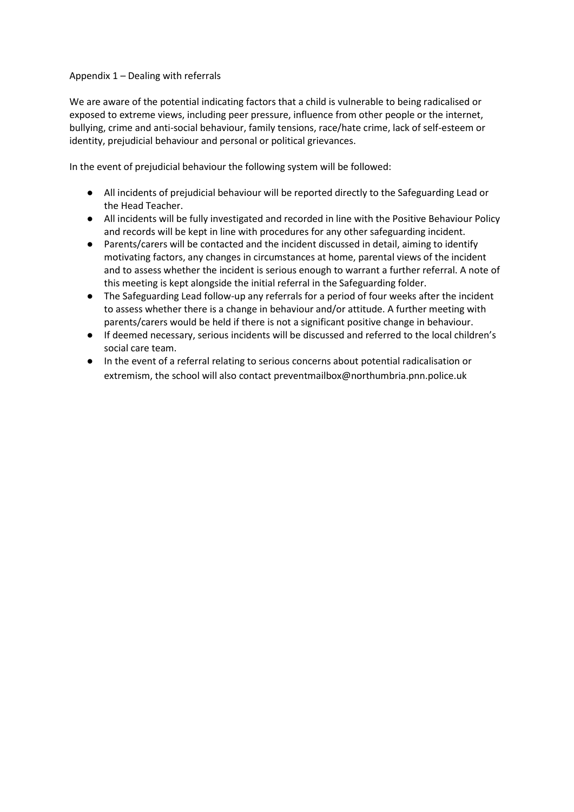## Appendix 1 – Dealing with referrals

We are aware of the potential indicating factors that a child is vulnerable to being radicalised or exposed to extreme views, including peer pressure, influence from other people or the internet, bullying, crime and anti-social behaviour, family tensions, race/hate crime, lack of self-esteem or identity, prejudicial behaviour and personal or political grievances.

In the event of prejudicial behaviour the following system will be followed:

- All incidents of prejudicial behaviour will be reported directly to the Safeguarding Lead or the Head Teacher.
- All incidents will be fully investigated and recorded in line with the Positive Behaviour Policy and records will be kept in line with procedures for any other safeguarding incident.
- Parents/carers will be contacted and the incident discussed in detail, aiming to identify motivating factors, any changes in circumstances at home, parental views of the incident and to assess whether the incident is serious enough to warrant a further referral. A note of this meeting is kept alongside the initial referral in the Safeguarding folder.
- The Safeguarding Lead follow-up any referrals for a period of four weeks after the incident to assess whether there is a change in behaviour and/or attitude. A further meeting with parents/carers would be held if there is not a significant positive change in behaviour.
- If deemed necessary, serious incidents will be discussed and referred to the local children's social care team.
- In the event of a referral relating to serious concerns about potential radicalisation or extremism, the school will also contact [preventmailbox@northumbria.pnn.police.uk](mailto:preventmailbox@northumbria.pnn.police.uk)